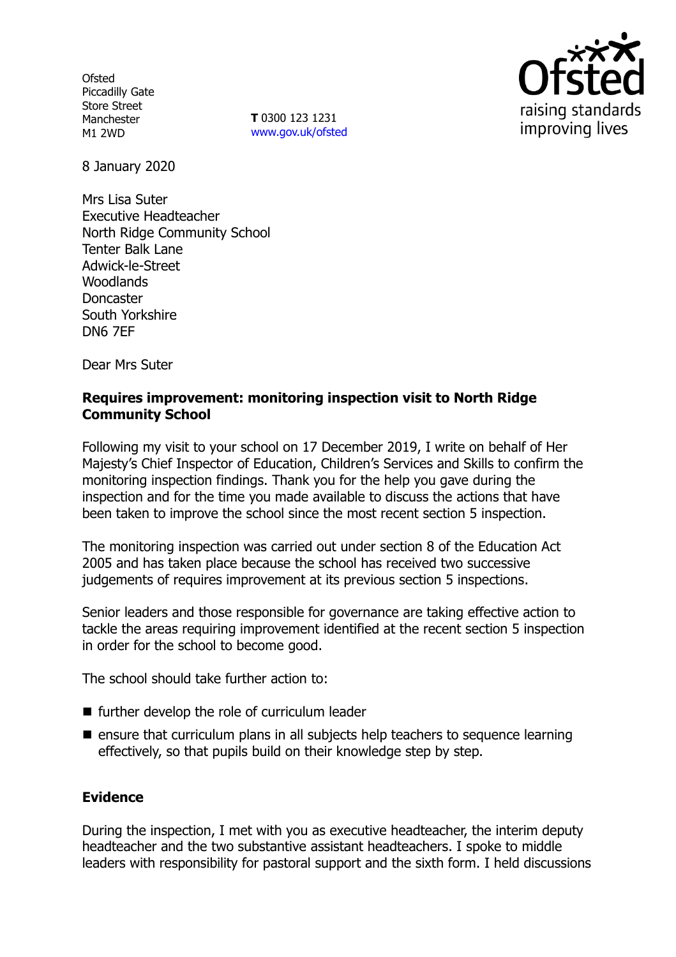**Ofsted** Piccadilly Gate Store Street Manchester M1 2WD

**T** 0300 123 1231 www.gov.uk/ofsted



8 January 2020

Mrs Lisa Suter Executive Headteacher North Ridge Community School Tenter Balk Lane Adwick-le-Street **Woodlands** Doncaster South Yorkshire DN6 7EF

Dear Mrs Suter

### **Requires improvement: monitoring inspection visit to North Ridge Community School**

Following my visit to your school on 17 December 2019, I write on behalf of Her Majesty's Chief Inspector of Education, Children's Services and Skills to confirm the monitoring inspection findings. Thank you for the help you gave during the inspection and for the time you made available to discuss the actions that have been taken to improve the school since the most recent section 5 inspection.

The monitoring inspection was carried out under section 8 of the Education Act 2005 and has taken place because the school has received two successive judgements of requires improvement at its previous section 5 inspections.

Senior leaders and those responsible for governance are taking effective action to tackle the areas requiring improvement identified at the recent section 5 inspection in order for the school to become good.

The school should take further action to:

- further develop the role of curriculum leader
- $\blacksquare$  ensure that curriculum plans in all subjects help teachers to sequence learning effectively, so that pupils build on their knowledge step by step.

# **Evidence**

During the inspection, I met with you as executive headteacher, the interim deputy headteacher and the two substantive assistant headteachers. I spoke to middle leaders with responsibility for pastoral support and the sixth form. I held discussions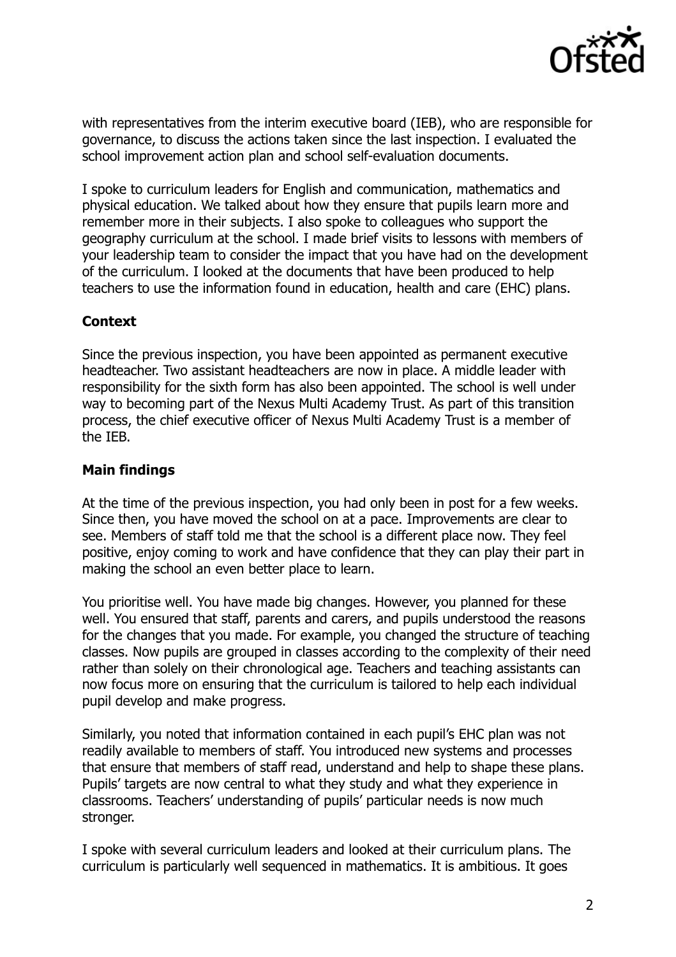

with representatives from the interim executive board (IEB), who are responsible for governance, to discuss the actions taken since the last inspection. I evaluated the school improvement action plan and school self-evaluation documents.

I spoke to curriculum leaders for English and communication, mathematics and physical education. We talked about how they ensure that pupils learn more and remember more in their subjects. I also spoke to colleagues who support the geography curriculum at the school. I made brief visits to lessons with members of your leadership team to consider the impact that you have had on the development of the curriculum. I looked at the documents that have been produced to help teachers to use the information found in education, health and care (EHC) plans.

## **Context**

Since the previous inspection, you have been appointed as permanent executive headteacher. Two assistant headteachers are now in place. A middle leader with responsibility for the sixth form has also been appointed. The school is well under way to becoming part of the Nexus Multi Academy Trust. As part of this transition process, the chief executive officer of Nexus Multi Academy Trust is a member of the IEB.

## **Main findings**

At the time of the previous inspection, you had only been in post for a few weeks. Since then, you have moved the school on at a pace. Improvements are clear to see. Members of staff told me that the school is a different place now. They feel positive, enjoy coming to work and have confidence that they can play their part in making the school an even better place to learn.

You prioritise well. You have made big changes. However, you planned for these well. You ensured that staff, parents and carers, and pupils understood the reasons for the changes that you made. For example, you changed the structure of teaching classes. Now pupils are grouped in classes according to the complexity of their need rather than solely on their chronological age. Teachers and teaching assistants can now focus more on ensuring that the curriculum is tailored to help each individual pupil develop and make progress.

Similarly, you noted that information contained in each pupil's EHC plan was not readily available to members of staff. You introduced new systems and processes that ensure that members of staff read, understand and help to shape these plans. Pupils' targets are now central to what they study and what they experience in classrooms. Teachers' understanding of pupils' particular needs is now much stronger.

I spoke with several curriculum leaders and looked at their curriculum plans. The curriculum is particularly well sequenced in mathematics. It is ambitious. It goes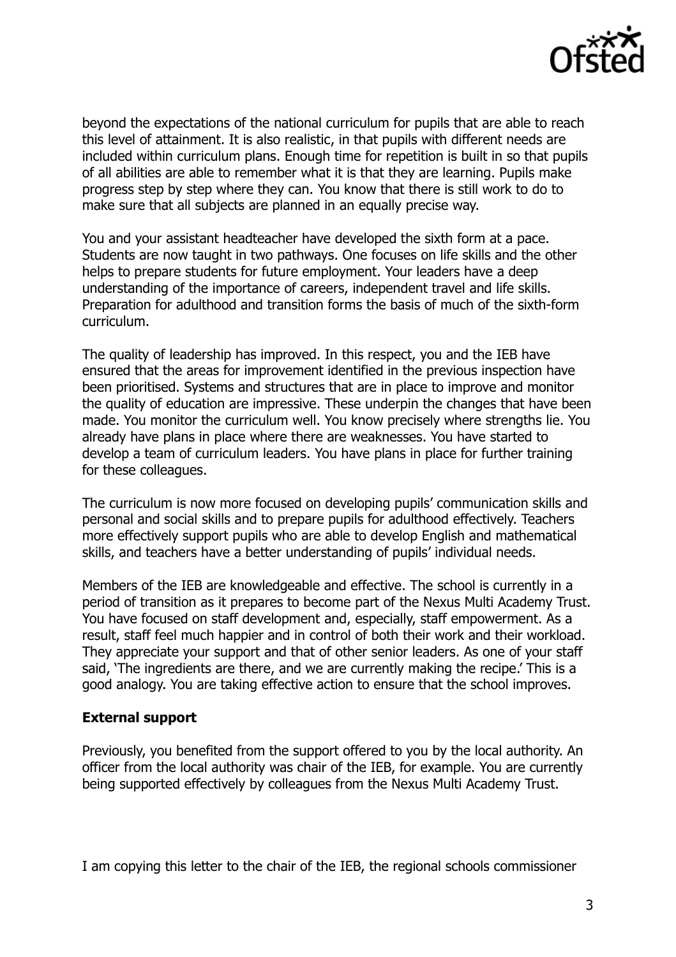

beyond the expectations of the national curriculum for pupils that are able to reach this level of attainment. It is also realistic, in that pupils with different needs are included within curriculum plans. Enough time for repetition is built in so that pupils of all abilities are able to remember what it is that they are learning. Pupils make progress step by step where they can. You know that there is still work to do to make sure that all subjects are planned in an equally precise way.

You and your assistant headteacher have developed the sixth form at a pace. Students are now taught in two pathways. One focuses on life skills and the other helps to prepare students for future employment. Your leaders have a deep understanding of the importance of careers, independent travel and life skills. Preparation for adulthood and transition forms the basis of much of the sixth-form curriculum.

The quality of leadership has improved. In this respect, you and the IEB have ensured that the areas for improvement identified in the previous inspection have been prioritised. Systems and structures that are in place to improve and monitor the quality of education are impressive. These underpin the changes that have been made. You monitor the curriculum well. You know precisely where strengths lie. You already have plans in place where there are weaknesses. You have started to develop a team of curriculum leaders. You have plans in place for further training for these colleagues.

The curriculum is now more focused on developing pupils' communication skills and personal and social skills and to prepare pupils for adulthood effectively. Teachers more effectively support pupils who are able to develop English and mathematical skills, and teachers have a better understanding of pupils' individual needs.

Members of the IEB are knowledgeable and effective. The school is currently in a period of transition as it prepares to become part of the Nexus Multi Academy Trust. You have focused on staff development and, especially, staff empowerment. As a result, staff feel much happier and in control of both their work and their workload. They appreciate your support and that of other senior leaders. As one of your staff said, 'The ingredients are there, and we are currently making the recipe.' This is a good analogy. You are taking effective action to ensure that the school improves.

#### **External support**

Previously, you benefited from the support offered to you by the local authority. An officer from the local authority was chair of the IEB, for example. You are currently being supported effectively by colleagues from the Nexus Multi Academy Trust.

I am copying this letter to the chair of the IEB, the regional schools commissioner